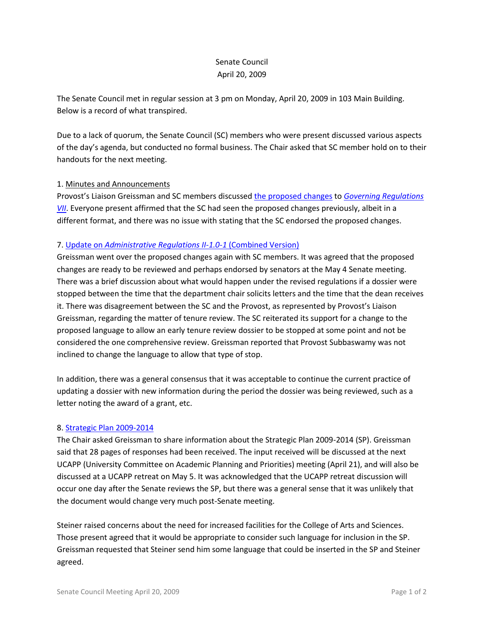# Senate Council April 20, 2009

The Senate Council met in regular session at 3 pm on Monday, April 20, 2009 in 103 Main Building. Below is a record of what transpired.

Due to a lack of quorum, the Senate Council (SC) members who were present discussed various aspects of the day's agenda, but conducted no formal business. The Chair asked that SC member hold on to their handouts for the next meeting.

### 1. Minutes and Announcements

Provost's Liaison Greissman and SC members discussed [the proposed changes](http://www.uky.edu/Faculty/Senate/files/GR%20VII%20(Consulted%20Faculty)%20narrative.pdf) to *[Governing Regulations](http://www.uky.edu/Faculty/Senate/files/GR%20VII%20-%20consulted%20faculty%20_version%204-15-09_.pdfhttp:/www.uky.edu/Faculty/Senate/files/GR%20VII%20-%20consulted%20faculty%20_version%204-15-09_.pdf) [VII](http://www.uky.edu/Faculty/Senate/files/GR%20VII%20-%20consulted%20faculty%20_version%204-15-09_.pdfhttp:/www.uky.edu/Faculty/Senate/files/GR%20VII%20-%20consulted%20faculty%20_version%204-15-09_.pdf)*. Everyone present affirmed that the SC had seen the proposed changes previously, albeit in a different format, and there was no issue with stating that the SC endorsed the proposed changes.

### 7. Update on *[Administrative Regulations II-1.0-1](http://www.uky.edu/Faculty/Senate/files/AR%20II-1_0-1%20Parts%20I-III%20(Version%20B%202-22-09).pdf)* (Combined Version)

Greissman went over the proposed changes again with SC members. It was agreed that the proposed changes are ready to be reviewed and perhaps endorsed by senators at the May 4 Senate meeting. There was a brief discussion about what would happen under the revised regulations if a dossier were stopped between the time that the department chair solicits letters and the time that the dean receives it. There was disagreement between the SC and the Provost, as represented by Provost's Liaison Greissman, regarding the matter of tenure review. The SC reiterated its support for a change to the proposed language to allow an early tenure review dossier to be stopped at some point and not be considered the one comprehensive review. Greissman reported that Provost Subbaswamy was not inclined to change the language to allow that type of stop.

In addition, there was a general consensus that it was acceptable to continue the current practice of updating a dossier with new information during the period the dossier was being reviewed, such as a letter noting the award of a grant, etc.

#### 8. [Strategic Plan 2009-2014](http://www.uky.edu/Faculty/Senate/files/2009-14%20SP_Complete.pdf)

The Chair asked Greissman to share information about the Strategic Plan 2009-2014 (SP). Greissman said that 28 pages of responses had been received. The input received will be discussed at the next UCAPP (University Committee on Academic Planning and Priorities) meeting (April 21), and will also be discussed at a UCAPP retreat on May 5. It was acknowledged that the UCAPP retreat discussion will occur one day after the Senate reviews the SP, but there was a general sense that it was unlikely that the document would change very much post-Senate meeting.

Steiner raised concerns about the need for increased facilities for the College of Arts and Sciences. Those present agreed that it would be appropriate to consider such language for inclusion in the SP. Greissman requested that Steiner send him some language that could be inserted in the SP and Steiner agreed.